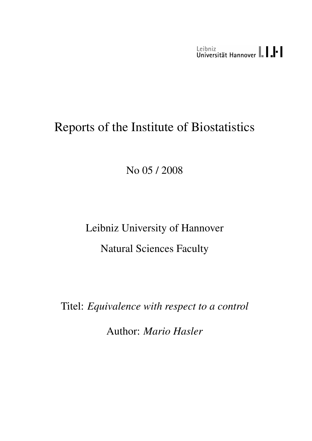Leibniz<br>Universität Hannover | | | | |

# Reports of the Institute of Biostatistics

No 05 / 2008

Leibniz University of Hannover Natural Sciences Faculty

Titel: *Equivalence with respect to a control*

Author: *Mario Hasler*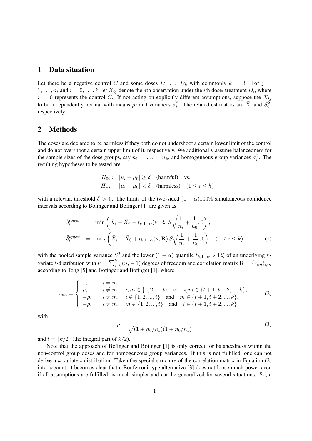#### 1 Data situation

Let there be a negative control C and some doses  $D_1, \ldots, D_k$  with commonly  $k = 3$ . For  $j =$  $1, \ldots, n_i$  and  $i = 0, \ldots, k$ , let  $X_{ij}$  denote the *j*th observation under the *i*th dose/ treatment  $D_i$ , where  $i = 0$  represents the control C. If not acting on explicitly different assumptions, suppose the  $X_{ij}$ to be independently normal with means  $\mu_i$  and variances  $\sigma_i^2$ . The related estimators are  $\bar{X}_i$  and  $S_i^2$ , respectively.

### 2 Methods

The doses are declared to be harmless if they both do not undershoot a certain lower limit of the control and do not overshoot a certain upper limit of it, respectively. We additionally assume balancedness for the sample sizes of the dose groups, say  $n_1 = \ldots = n_k$ , and homogeneous group variances  $\sigma_i^2$ . The resulting hypotheses to be tested are

$$
H_{0i}: \quad |\mu_i - \mu_0| \ge \delta \quad \text{(harmful)} \quad \text{vs.}
$$
\n
$$
H_{Ai}: \quad |\mu_i - \mu_0| < \delta \quad \text{(harmless)} \quad (1 \le i \le k)
$$

with a relevant threshold  $\delta > 0$ . The limits of the two-sided  $(1 - \alpha)100\%$  simultaneous confidence intervals according to Bofinger and Bofinger [1] are given as

$$
\hat{\delta}_i^{lower} = \min\left(\bar{X}_i - \bar{X}_0 - t_{k,1-\alpha}(\nu, \mathbf{R}) S \sqrt{\frac{1}{n_i} + \frac{1}{n_0}}, 0\right),
$$
  

$$
\hat{\delta}_i^{upper} = \max\left(\bar{X}_i - \bar{X}_0 + t_{k,1-\alpha}(\nu, \mathbf{R}) S \sqrt{\frac{1}{n_i} + \frac{1}{n_0}}, 0\right) \quad (1 \le i \le k)
$$
 (1)

with the pooled sample variance  $S^2$  and the lower  $(1 - \alpha)$  quantile  $t_{k,1-\alpha}(\nu, \mathbf{R})$  of an underlying kvariate t-distribution with  $\nu = \sum_{i=0}^{k} (n_i - 1)$  degrees of freedom and correlation matrix  $\mathbf{R} = (r_{im})_{i,m}$ according to Tong [5] and Bofinger and Bofinger [1], where

$$
r_{im} = \begin{cases} 1, & i = m, \\ \rho, & i \neq m, \\ -\rho, & i \neq m, \\ -\rho, & i \neq m, \\ -\rho, & i \neq m, \\ \end{cases} \quad i \in \{1, 2, ..., t\} \quad \text{or} \quad i, m \in \{t + 1, t + 2, ..., k\},
$$

$$
(2)
$$

$$
m \in \{t + 1, t + 2, ..., k\},
$$

$$
i \neq m, \\ m \in \{1, 2, ..., t\} \quad \text{and} \quad i \in \{t + 1, t + 2, ..., k\}
$$

with

$$
\rho = \frac{1}{\sqrt{(1 + n_0/n_1)(1 + n_0/n_1)}}
$$
\n(3)

and  $t = |k/2|$  (the integral part of  $k/2$ ).

Note that the approach of Bofinger and Bofinger [1] is only correct for balancedness within the non-control group doses and for homogeneous group variances. If this is not fulfilled, one can not derive a k-variate t-distribution. Taken the special structure of the correlation matrix in Equation (2) into account, it becomes clear that a Bonferroni-type alternative [3] does not loose much power even if all assumptions are fulfilled, is much simpler and can be generalized for several situations. So, a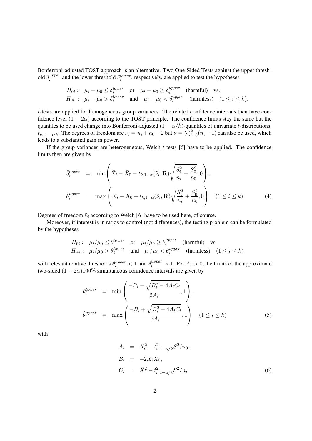Bonferroni-adjusted TOST approach is an alternative. Two One-Sided Tests against the upper threshold  $\delta_i^{upper}$  $i<sup>upper</sup>$  and the lower threshold  $\delta_i^{lower}$ , respectively, are applied to test the hypotheses

$$
H_{0i}: \mu_i - \mu_0 \le \delta_i^{lower} \quad \text{or} \quad \mu_i - \mu_0 \ge \delta_i^{upper} \quad \text{(harmful)} \quad \text{vs.}
$$
\n
$$
H_{Ai}: \mu_i - \mu_0 > \delta_i^{lower} \quad \text{and} \quad \mu_i - \mu_0 < \delta_i^{upper} \quad \text{(harmless)} \quad (1 \le i \le k).
$$

t-tests are applied for homogeneous group variances. The related confidence intervals then have confidence level  $(1 - 2\alpha)$  according to the TOST principle. The confidence limits stay the same but the quantiles to be used change into Bonferroni-adjusted  $(1 - \alpha/k)$ -quantiles of univariate t-distributions,  $t_{\nu_i,1-\alpha/k}$ . The degrees of freedom are  $\nu_i = n_i + n_0 - 2$  but  $\nu = \sum_{i=0}^{k} (n_i - 1)$  can also be used, which leads to a substantial gain in power.

If the group variances are heterogeneous, Welch  $t$ -tests  $[6]$  have to be applied. The confidence limits then are given by

$$
\hat{\delta}_i^{lower} = \min \left( \bar{X}_i - \bar{X}_0 - t_{k,1-\alpha}(\tilde{\nu}_i, \mathbf{R}) \sqrt{\frac{S_i^2}{n_i} + \frac{S_0^2}{n_0}}, 0 \right),
$$
\n
$$
\hat{\delta}_i^{upper} = \max \left( \bar{X}_i - \bar{X}_0 + t_{k,1-\alpha}(\tilde{\nu}_i, \mathbf{R}) \sqrt{\frac{S_i^2}{n_i} + \frac{S_0^2}{n_0}}, 0 \right) \quad (1 \le i \le k)
$$
\n(4)

Degrees of freedom  $\tilde{\nu}_i$  according to Welch [6] have to be used here, of course.

Moreover, if interest is in ratios to control (not differences), the testing problem can be formulated by the hypotheses

$$
H_{0i}: \mu_i/\mu_0 \le \theta_i^{lower} \quad \text{or} \quad \mu_i/\mu_0 \ge \theta_i^{upper} \quad \text{(harmful)} \quad \text{vs.}
$$
\n
$$
H_{Ai}: \mu_i/\mu_0 > \theta_i^{lower} \quad \text{and} \quad \mu_i/\mu_0 < \theta_i^{upper} \quad \text{(harmless)} \quad (1 \le i \le k)
$$

with relevant relative thresholds  $\theta_i^{lower} < 1$  and  $\theta_i^{upper} > 1$ . For  $A_i > 0$ , the limits of the approximate two-sided  $(1 - 2\alpha)100\%$  simultaneous confidence intervals are given by

$$
\hat{\theta}_i^{lower} = \min\left(\frac{-B_i - \sqrt{B_i^2 - 4A_iC_i}}{2A_i}, 1\right),
$$
\n
$$
\hat{\theta}_i^{upper} = \max\left(\frac{-B_i + \sqrt{B_i^2 - 4A_iC_i}}{2A_i}, 1\right) \quad (1 \le i \le k)
$$
\n(5)

with

$$
A_i = \bar{X}_0^2 - t_{\nu, 1 - \alpha/k}^2 S^2 / n_0,
$$
  
\n
$$
B_i = -2\bar{X}_i \bar{X}_0,
$$
  
\n
$$
C_i = \bar{X}_i^2 - t_{\nu, 1 - \alpha/k}^2 S^2 / n_i
$$
\n(6)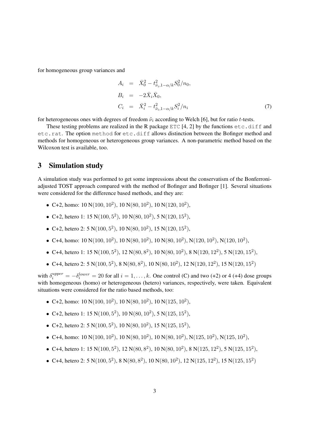for homogeneous group variances and

$$
A_i = \bar{X}_0^2 - t_{\tilde{\nu}_i, 1-\alpha/k}^2 S_0^2 / n_0,
$$
  
\n
$$
B_i = -2\bar{X}_i \bar{X}_0,
$$
  
\n
$$
C_i = \bar{X}_i^2 - t_{\tilde{\nu}_i, 1-\alpha/k}^2 S_i^2 / n_i
$$
\n(7)

for heterogeneous ones with degrees of freedom  $\tilde{\nu}_i$  according to Welch [6], but for ratio t-tests.

These testing problems are realized in the R package ETC [4, 2] by the functions  $etc.diff$  and etc.rat. The option method for etc.diff allows distinction between the Bofinger method and methods for homogeneous or heterogeneous group variances. A non-parametric method based on the Wilcoxon test is available, too.

## 3 Simulation study

A simulation study was performed to get some impressions about the conservatism of the Bonferroniadjusted TOST approach compared with the method of Bofinger and Bofinger [1]. Several situations were considered for the difference based methods, and they are:

- C+2, homo:  $10 \text{ N}(100, 10^2)$ ,  $10 \text{ N}(80, 10^2)$ ,  $10 \text{ N}(120, 10^2)$ ,
- C+2, hetero 1: 15 N(100,  $5^2$ ), 10 N(80, 10<sup>2</sup>), 5 N(120, 15<sup>2</sup>),
- C+2, hetero 2:  $5 N(100, 5^2)$ ,  $10 N(80, 10^2)$ ,  $15 N(120, 15^2)$ ,
- C+4, homo:  $10 \text{ N}(100, 10^2)$ ,  $10 \text{ N}(80, 10^2)$ ,  $10 \text{ N}(80, 10^2)$ ,  $\text{N}(120, 10^2)$ ,  $\text{N}(120, 10^2)$ ,
- C+4, hetero 1: 15 N(100, 5<sup>2</sup>), 12 N(80, 8<sup>2</sup>), 10 N(80, 10<sup>2</sup>), 8 N(120, 12<sup>2</sup>), 5 N(120, 15<sup>2</sup>),
- C+4, hetero 2: 5 N(100, 5<sup>2</sup>), 8 N(80, 8<sup>2</sup>), 10 N(80, 10<sup>2</sup>), 12 N(120, 12<sup>2</sup>), 15 N(120, 15<sup>2</sup>)

with  $\delta_i^{upper} = -\delta_i^{lower} = 20$  for all  $i = 1, ..., k$ . One control (C) and two (+2) or 4 (+4) dose groups with homogeneous (homo) or heterogeneous (hetero) variances, respectively, were taken. Equivalent situations were considered for the ratio based methods, too:

- C+2, homo:  $10 \text{ N}(100, 10^2)$ ,  $10 \text{ N}(80, 10^2)$ ,  $10 \text{ N}(125, 10^2)$ ,
- C+2, hetero 1: 15 N(100,  $5^2$ ), 10 N(80, 10<sup>2</sup>), 5 N(125, 15<sup>2</sup>),
- C+2, hetero 2:  $5 N(100, 5^2)$ ,  $10 N(80, 10^2)$ ,  $15 N(125, 15^2)$ ,
- C+4, homo: 10 N(100, 10<sup>2</sup>), 10 N(80, 10<sup>2</sup>), 10 N(80, 10<sup>2</sup>), N(125, 10<sup>2</sup>), N(125, 10<sup>2</sup>),
- C+4, hetero 1: 15 N(100,  $5^2$ ), 12 N(80,  $8^2$ ), 10 N(80,  $10^2$ ), 8 N(125,  $12^2$ ), 5 N(125,  $15^2$ ),
- C+4, hetero 2: 5 N(100, 5<sup>2</sup>), 8 N(80, 8<sup>2</sup>), 10 N(80, 10<sup>2</sup>), 12 N(125, 12<sup>2</sup>), 15 N(125, 15<sup>2</sup>)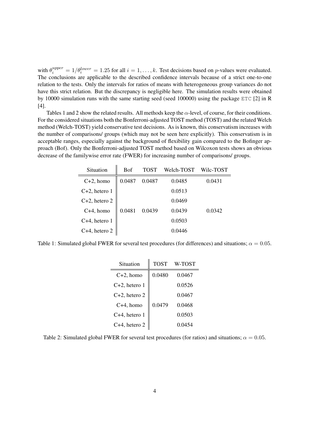with  $\theta_i^{upper} = 1/\theta_i^{lower} = 1.25$  for all  $i = 1, ..., k$ . Test decisions based on *p*-values were evaluated. The conclusions are applicable to the described confidence intervals because of a strict one-to-one relation to the tests. Only the intervals for ratios of means with heterogeneous group variances do not have this strict relation. But the discrepancy is negligible here. The simulation results were obtained by 10000 simulation runs with the same starting seed (seed 100000) using the package ETC [2] in R [4].

Tables 1 and 2 show the related results. All methods keep the  $\alpha$ -level, of course, for their conditions. For the considered situations both the Bonferroni-adjusted TOST method (TOST) and the related Welch method (Welch-TOST) yield conservative test decisions. As is known, this conservatism increases with the number of comparisons/ groups (which may not be seen here explicitly). This conservatism is in acceptable ranges, especially against the background of flexibility gain compared to the Bofinger approach (Bof). Only the Bonferroni-adjusted TOST method based on Wilcoxon tests shows an obvious decrease of the familywise error rate (FWER) for increasing number of comparisons/ groups.

 $\mathbf{u}$ 

| Situation        | <b>Bof</b> | TOST   | Welch-TOST | Wilc-TOST |
|------------------|------------|--------|------------|-----------|
| $C+2$ , homo     | 0.0487     | 0.0487 | 0.0485     | 0.0431    |
| $C+2$ , hetero 1 |            |        | 0.0513     |           |
| C+2, hetero 2    |            |        | 0.0469     |           |
| $C+4$ , homo     | 0.0481     | 0.0439 | 0.0439     | 0.0342    |
| $C+4$ , hetero 1 |            |        | 0.0503     |           |
| C+4, hetero 2    |            |        | 0.0446     |           |

Table 1: Simulated global FWER for several test procedures (for differences) and situations;  $\alpha = 0.05$ .

| Situation        | TOST   | W-TOST |  |
|------------------|--------|--------|--|
| $C+2$ , homo     | 0.0480 | 0.0467 |  |
| $C+2$ , hetero 1 |        | 0.0526 |  |
| $C+2$ , hetero 2 |        | 0.0467 |  |
| $C+4$ , homo     | 0.0479 | 0 0468 |  |
| C+4, hetero 1    |        | 0.0503 |  |
| C+4, hetero 2    |        | 0.0454 |  |

Table 2: Simulated global FWER for several test procedures (for ratios) and situations;  $\alpha = 0.05$ .